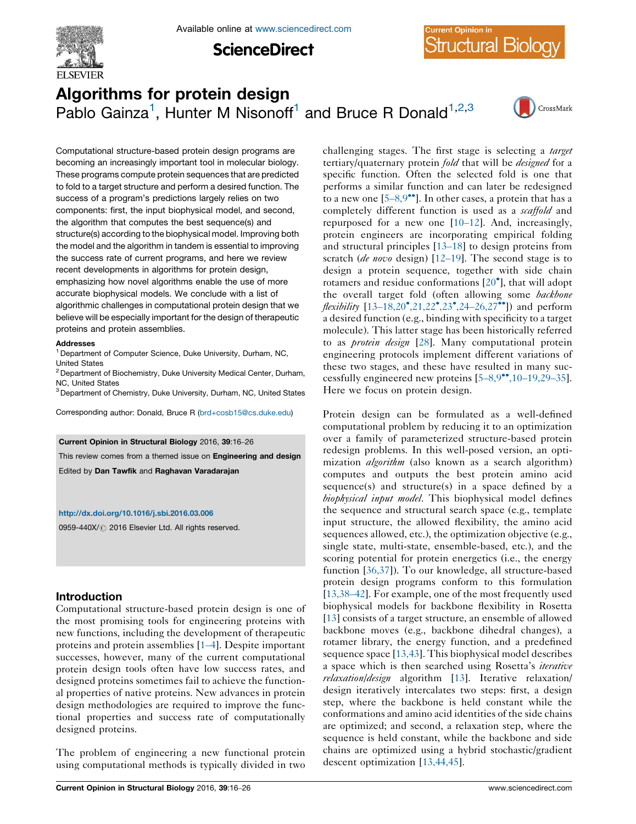

Available online at [www.sciencedirect.com](http://www.sciencedirect.com/science/journal/0959440X)

**ScienceDirect** 

**Current Opinion in Structural Biology** 

# Algorithms for protein design Pablo Gainza<sup>1</sup>, Hunter M Nisonoff<sup>1</sup> and Bruce R Donald<sup>1,2,3</sup>



Computational structure-based protein design programs are becoming an increasingly important tool in molecular biology. These programs compute protein sequences that are predicted to fold to a target structure and perform a desired function. The success of a program's predictions largely relies on two components: first, the input biophysical model, and second, the algorithm that computes the best sequence(s) and structure(s) according to the biophysical model. Improving both the model and the algorithm in tandem is essential to improving the success rate of current programs, and here we review recent developments in algorithms for protein design, emphasizing how novel algorithms enable the use of more accurate biophysical models. We conclude with a list of algorithmic challenges in computational protein design that we believe will be especially important for the design of therapeutic proteins and protein assemblies.

#### **Addresses**

<sup>1</sup> Department of Computer Science, Duke University, Durham, NC, United States

<sup>2</sup> Department of Biochemistry, Duke University Medical Center, Durham, NC, United States

<sup>3</sup> Department of Chemistry, Duke University, Durham, NC, United States

Corresponding author: Donald, Bruce R ([brd+cosb15@cs.duke.edu](mailto:brd+cosb15@cs.duke.edu))

#### Current Opinion in Structural Biology 2016, 39:16–26

This review comes from a themed issue on Engineering and design

Edited by Dan Tawfik and Raghavan Varadarajan

### <http://dx.doi.org/10.1016/j.sbi.2016.03.006>

0959-440X/ 2016 Elsevier Ltd. All rights reserved.

### Introduction

Computational structure-based protein design is one of the most promising tools for engineering proteins with new functions, including the development of therapeutic proteins and protein assemblies [1–[4\]](#page-7-0). Despite important successes, however, many of the current computational protein design tools often have low success rates, and designed proteins sometimes fail to achieve the functional properties of native proteins. New advances in protein design methodologies are required to improve the functional properties and success rate of computationally designed proteins.

The problem of engineering a new functional protein using computational methods is typically divided in two

challenging stages. The first stage is selecting a target tertiary/quaternary protein fold that will be designed for a specific function. Often the selected fold is one that performs a similar function and can later be redesigned to a new one  $[5-8,9^{\bullet\bullet}]$  $[5-8,9^{\bullet\bullet}]$  $[5-8,9^{\bullet\bullet}]$ . In other cases, a protein that has a completely different function is used as a scaffold and repurposed for a new one [\[10](#page-7-0)–12]. And, increasingly, protein engineers are incorporating empirical folding and structural principles [13–[18\]](#page-7-0) to design proteins from scratch (de novo design)  $[12-19]$  $[12-19]$ . The second stage is to design a protein sequence, together with side chain rotamers and residue conformations [[20](#page-7-0)<sup>°</sup>], that will adopt the overall target fold (often allowing some backbone flexibility [13-[18,20](#page-7-0)<sup>\*</sup>[,21,22](#page-7-0)<sup>\*</sup>[,23](#page-7-0)<sup>\*</sup>,24-[26,27](#page-7-0)<sup>\*\*</sup>]) and perform a desired function (e.g., binding with specificity to a target molecule). This latter stage has been historically referred to as *protein design* [[28\]](#page-8-0). Many computational protein engineering protocols implement different variations of these two stages, and these have resulted in many successfully engineered new proteins  $[5-8,9^{\bullet\bullet},10-19,29-35]$  $[5-8,9^{\bullet\bullet},10-19,29-35]$  $[5-8,9^{\bullet\bullet},10-19,29-35]$  $[5-8,9^{\bullet\bullet},10-19,29-35]$  $[5-8,9^{\bullet\bullet},10-19,29-35]$ . Here we focus on protein design.

Protein design can be formulated as a well-defined computational problem by reducing it to an optimization over a family of parameterized structure-based protein redesign problems. In this well-posed version, an optimization *algorithm* (also known as a search algorithm) computes and outputs the best protein amino acid sequence(s) and structure(s) in a space defined by a biophysical input model. This biophysical model defines the sequence and structural search space (e.g., template input structure, the allowed flexibility, the amino acid sequences allowed, etc.), the optimization objective (e.g., single state, multi-state, ensemble-based, etc.), and the scoring potential for protein energetics (i.e., the energy function [[36,37](#page-8-0)]). To our knowledge, all structure-based protein design programs conform to this formulation [\[13,38](#page-7-0)–42]. For example, one of the most frequently used biophysical models for backbone flexibility in Rosetta [\[13](#page-7-0)] consists of a target structure, an ensemble of allowed backbone moves (e.g., backbone dihedral changes), a rotamer library, the energy function, and a predefined sequence space [\[13,43\]](#page-7-0). This biophysical model describes a space which is then searched using Rosetta's iterative relaxation/design algorithm [[13\]](#page-7-0). Iterative relaxation/ design iteratively intercalates two steps: first, a design step, where the backbone is held constant while the conformations and amino acid identities of the side chains are optimized; and second, a relaxation step, where the sequence is held constant, while the backbone and side chains are optimized using a hybrid stochastic/gradient descent optimization [\[13,44,45\]](#page-7-0).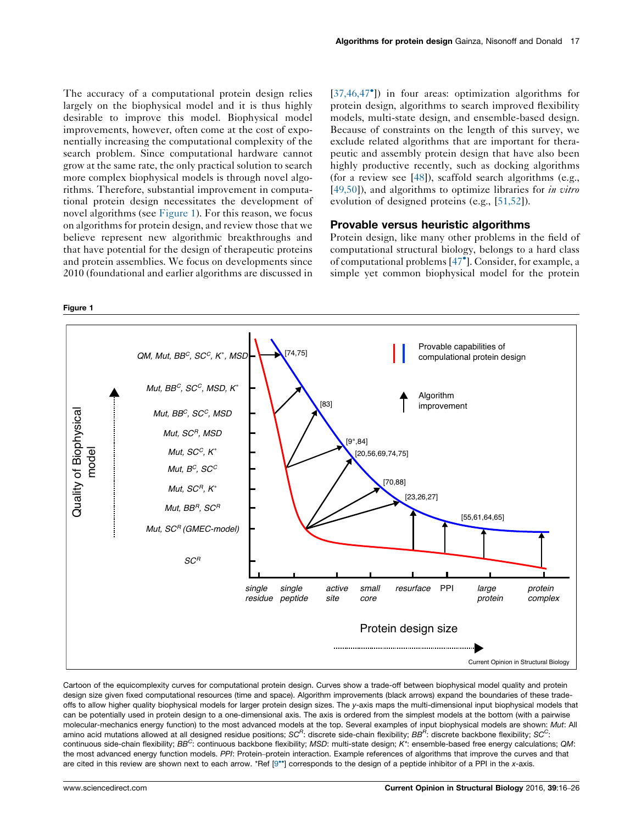<span id="page-1-0"></span>The accuracy of a computational protein design relies largely on the biophysical model and it is thus highly desirable to improve this model. Biophysical model improvements, however, often come at the cost of exponentially increasing the computational complexity of the search problem. Since computational hardware cannot grow at the same rate, the only practical solution to search more complex biophysical models is through novel algorithms. Therefore, substantial improvement in computational protein design necessitates the development of novel algorithms (see Figure 1). For this reason, we focus on algorithms for protein design, and review those that we believe represent new algorithmic breakthroughs and that have potential for the design of therapeutic proteins and protein assemblies. We focus on developments since 2010 (foundational and earlier algorithms are discussed in

[[37,46,47](#page-8-0)<sup>°</sup>]) in four areas: optimization algorithms for protein design, algorithms to search improved flexibility models, multi-state design, and ensemble-based design. Because of constraints on the length of this survey, we exclude related algorithms that are important for therapeutic and assembly protein design that have also been highly productive recently, such as docking algorithms (for a review see [[48\]](#page-8-0)), scaffold search algorithms (e.g., [[49,50\]](#page-8-0)), and algorithms to optimize libraries for *in vitro* evolution of designed proteins (e.g., [[51,52](#page-8-0)]).

### Provable versus heuristic algorithms

Protein design, like many other problems in the field of computational structural biology, belongs to a hard class of computational problems [[47](#page-8-0)- ]. Consider, for example, a simple yet common biophysical model for the protein



Cartoon of the equicomplexity curves for computational protein design. Curves show a trade-off between biophysical model quality and protein design size given fixed computational resources (time and space). Algorithm improvements (black arrows) expand the boundaries of these tradeoffs to allow higher quality biophysical models for larger protein design sizes. The y-axis maps the multi-dimensional input biophysical models that can be potentially used in protein design to a one-dimensional axis. The axis is ordered from the simplest models at the bottom (with a pairwise molecular-mechanics energy function) to the most advanced models at the top. Several examples of input biophysical models are shown: Mut: All amino acid mutations allowed at all designed residue positions;  $SC<sup>R</sup>$ : discrete side-chain flexibility;  $BB<sup>R</sup>$ : discrete backbone flexibility;  $SC<sup>C</sup>$ : continuous side-chain flexibility;  $BB^C$ : continuous backbone flexibility;  $MSD$ : multi-state design; K\*: ensemble-based free energy calculations; QM: the most advanced energy function models. PPI: Protein-protein interaction. Example references of algorithms that improve the curves and that are cited in this review are shown next to each arrow. \*Ref [\[9](#page-7-0)\*\*] corresponds to the design of a peptide inhibitor of a PPI in the x-axis.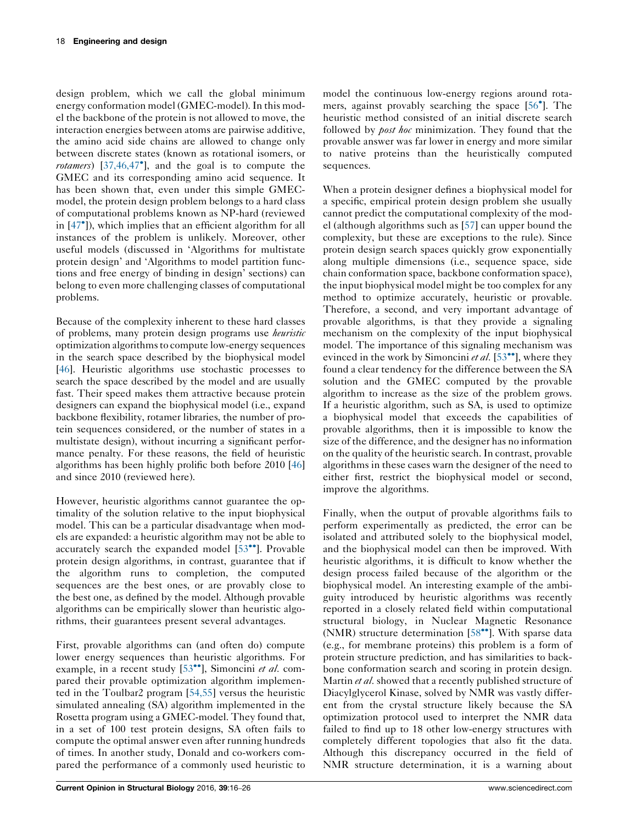design problem, which we call the global minimum energy conformation model (GMEC-model).In this model the backbone of the protein is not allowed to move, the interaction energies between atoms are pairwise additive, the amino acid side chains are allowed to change only between discrete states (known as rotational isomers, or *rotamers*)  $[37,46,47^{\circ}]$  $[37,46,47^{\circ}]$  $[37,46,47^{\circ}]$ , and the goal is to compute the GMEC and its corresponding amino acid sequence. It has been shown that, even under this simple GMECmodel, the protein design problem belongs to a hard class of computational problems known as NP-hard (reviewed in  $[47^{\circ}]$  $[47^{\circ}]$ ), which implies that an efficient algorithm for all instances of the problem is unlikely. Moreover, other useful models (discussed in 'Algorithms for multistate protein design' and 'Algorithms to model partition functions and free energy of binding in design' sections) can belong to even more challenging classes of computational problems.

Because of the complexity inherent to these hard classes of problems, many protein design programs use *heuristic* optimization algorithms to compute low-energy sequences in the search space described by the biophysical model [\[46](#page-8-0)]. Heuristic algorithms use stochastic processes to search the space described by the model and are usually fast. Their speed makes them attractive because protein designers can expand the biophysical model (i.e., expand backbone flexibility, rotamer libraries, the number of protein sequences considered, or the number of states in a multistate design), without incurring a significant performance penalty. For these reasons, the field of heuristic algorithms has been highly prolific both before 2010 [[46\]](#page-8-0) and since 2010 (reviewed here).

However, heuristic algorithms cannot guarantee the optimality of the solution relative to the input biophysical model. This can be a particular disadvantage when models are expanded: a heuristic algorithm may not be able to accurately search the expanded model  $[53$ <sup>\*\*</sup>]. Provable protein design algorithms, in contrast, guarantee that if the algorithm runs to completion, the computed sequences are the best ones, or are provably close to the best one, as defined by the model. Although provable algorithms can be empirically slower than heuristic algorithms, their guarantees present several advantages.

First, provable algorithms can (and often do) compute lower energy sequences than heuristic algorithms. For example, in a recent study [\[53](#page-9-0)\*], Simoncini et al. compared their provable optimization algorithm implemented in the Toulbar2 program [\[54,55\]](#page-9-0) versus the heuristic simulated annealing (SA) algorithm implemented in the Rosetta program using a GMEC-model. They found that, in a set of 100 test protein designs, SA often fails to compute the optimal answer even after running hundreds of times. In another study, Donald and co-workers compared the performance of a commonly used heuristic to

model the continuous low-energy regions around rota-mers, against provably searching the space [[56](#page-9-0)<sup>°</sup>]. The heuristic method consisted of an initial discrete search followed by *post hoc* minimization. They found that the provable answer was far lower in energy and more similar to native proteins than the heuristically computed sequences.

When a protein designer defines a biophysical model for a specific, empirical protein design problem she usually cannot predict the computational complexity of the model (although algorithms such as [[57\]](#page-9-0) can upper bound the complexity, but these are exceptions to the rule). Since protein design search spaces quickly grow exponentially along multiple dimensions (i.e., sequence space, side chain conformation space, backbone conformation space), the input biophysical model might be too complex for any method to optimize accurately, heuristic or provable. Therefore, a second, and very important advantage of provable algorithms, is that they provide a signaling mechanism on the complexity of the input biophysical model. The importance of this signaling mechanism was evinced in the work by Simoncini et al.  $[53$  $[53$ <sup>\*</sup>, where they found a clear tendency for the difference between the SA solution and the GMEC computed by the provable algorithm to increase as the size of the problem grows. If a heuristic algorithm, such as SA, is used to optimize a biophysical model that exceeds the capabilities of provable algorithms, then it is impossible to know the size of the difference, and the designer has no information on the quality of the heuristic search. In contrast, provable algorithms in these cases warn the designer of the need to either first, restrict the biophysical model or second, improve the algorithms.

Finally, when the output of provable algorithms fails to perform experimentally as predicted, the error can be isolated and attributed solely to the biophysical model, and the biophysical model can then be improved. With heuristic algorithms, it is difficult to know whether the design process failed because of the algorithm or the biophysical model. An interesting example of the ambiguity introduced by heuristic algorithms was recently reported in a closely related field within computational structural biology, in Nuclear Magnetic Resonance (NMR) structure determination [\[58](#page-9-0)\*\*]. With sparse data (e.g., for membrane proteins) this problem is a form of protein structure prediction, and has similarities to backbone conformation search and scoring in protein design. Martin et al. showed that a recently published structure of Diacylglycerol Kinase, solved by NMR was vastly different from the crystal structure likely because the SA optimization protocol used to interpret the NMR data failed to find up to 18 other low-energy structures with completely different topologies that also fit the data. Although this discrepancy occurred in the field of NMR structure determination, it is a warning about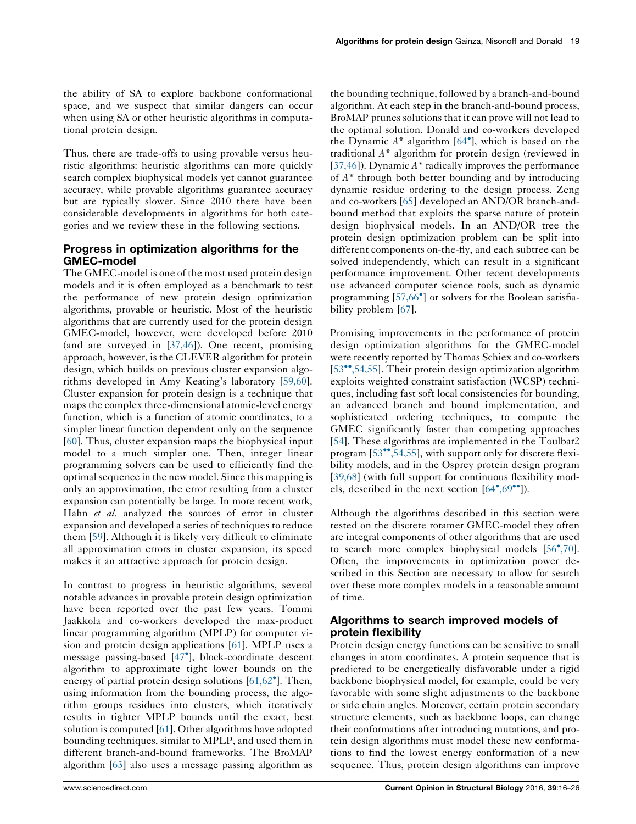the ability of SA to explore backbone conformational space, and we suspect that similar dangers can occur when using SA or other heuristic algorithms in computational protein design.

Thus, there are trade-offs to using provable versus heuristic algorithms: heuristic algorithms can more quickly search complex biophysical models yet cannot guarantee accuracy, while provable algorithms guarantee accuracy but are typically slower. Since 2010 there have been considerable developments in algorithms for both categories and we review these in the following sections.

### Progress in optimization algorithms for the GMEC-model

The GMEC-model is one of the most used protein design models and it is often employed as a benchmark to test the performance of new protein design optimization algorithms, provable or heuristic. Most of the heuristic algorithms that are currently used for the protein design GMEC-model, however, were developed before 2010 (and are surveyed in [[37,46](#page-8-0)]). One recent, promising approach, however, is the CLEVER algorithm for protein design, which builds on previous cluster expansion algorithms developed in Amy Keating's laboratory [[59,60](#page-9-0)]. Cluster expansion for protein design is a technique that maps the complex three-dimensional atomic-level energy function, which is a function of atomic coordinates, to a simpler linear function dependent only on the sequence [\[60](#page-9-0)]. Thus, cluster expansion maps the biophysical input model to a much simpler one. Then, integer linear programming solvers can be used to efficiently find the optimal sequence in the new model. Since this mapping is only an approximation, the error resulting from a cluster expansion can potentially be large. In more recent work, Hahn et al. analyzed the sources of error in cluster expansion and developed a series of techniques to reduce them [[59\]](#page-9-0). Although it is likely very difficult to eliminate all approximation errors in cluster expansion, its speed makes it an attractive approach for protein design.

In contrast to progress in heuristic algorithms, several notable advances in provable protein design optimization have been reported over the past few years. Tommi Jaakkola and co-workers developed the max-product linear programming algorithm (MPLP) for computer vision and protein design applications [\[61](#page-9-0)]. MPLP uses a message passing-based [\[47](#page-8-0)<sup>°</sup>], block-coordinate descent algorithm to approximate tight lower bounds on the energy of partial protein design solutions [\[61,62](#page-9-0)°]. Then, using information from the bounding process, the algorithm groups residues into clusters, which iteratively results in tighter MPLP bounds until the exact, best solution is computed [[61\]](#page-9-0). Other algorithms have adopted bounding techniques, similar to MPLP, and used them in different branch-and-bound frameworks. The BroMAP algorithm [\[63](#page-9-0)] also uses a message passing algorithm as the bounding technique, followed by a branch-and-bound algorithm. At each step in the branch-and-bound process, BroMAP prunes solutions that it can prove will not lead to the optimal solution. Donald and co-workers developed the Dynamic  $A^*$  algorithm  $[64^{\circ}]$  $[64^{\circ}]$ , which is based on the traditional A\* algorithm for protein design (reviewed in [[37,46\]](#page-8-0)). Dynamic  $A^*$  radically improves the performance of A\* through both better bounding and by introducing dynamic residue ordering to the design process. Zeng and co-workers [\[65](#page-9-0)] developed an AND/OR branch-andbound method that exploits the sparse nature of protein design biophysical models. In an AND/OR tree the protein design optimization problem can be split into different components on-the-fly, and each subtree can be solved independently, which can result in a significant performance improvement. Other recent developments use advanced computer science tools, such as dynamic programming [\[57,66](#page-9-0)<sup>\*</sup>] or solvers for the Boolean satisfia-bility problem [[67\]](#page-9-0).

Promising improvements in the performance of protein design optimization algorithms for the GMEC-model were recently reported by Thomas Schiex and co-workers [[53](#page-9-0)\*\*[,54,55\]](#page-9-0). Their protein design optimization algorithm exploits weighted constraint satisfaction (WCSP) techniques, including fast soft local consistencies for bounding, an advanced branch and bound implementation, and sophisticated ordering techniques, to compute the GMEC significantly faster than competing approaches [[54](#page-9-0)]. These algorithms are implemented in the Toulbar2 program [\[53](#page-9-0)\*[,54,55](#page-9-0)], with support only for discrete flexibility models, and in the Osprey protein design program [[39,68\]](#page-8-0) (with full support for continuous flexibility models, described in the next section  $[64^{\bullet}, 69^{\bullet\bullet}]$  $[64^{\bullet}, 69^{\bullet\bullet}]$ ).

Although the algorithms described in this section were tested on the discrete rotamer GMEC-model they often are integral components of other algorithms that are used to search more complex biophysical models [\[56](#page-9-0)°[,70\]](#page-9-0). Often, the improvements in optimization power described in this Section are necessary to allow for search over these more complex models in a reasonable amount of time.

### Algorithms to search improved models of protein flexibility

Protein design energy functions can be sensitive to small changes in atom coordinates. A protein sequence that is predicted to be energetically disfavorable under a rigid backbone biophysical model, for example, could be very favorable with some slight adjustments to the backbone or side chain angles. Moreover, certain protein secondary structure elements, such as backbone loops, can change their conformations after introducing mutations, and protein design algorithms must model these new conformations to find the lowest energy conformation of a new sequence. Thus, protein design algorithms can improve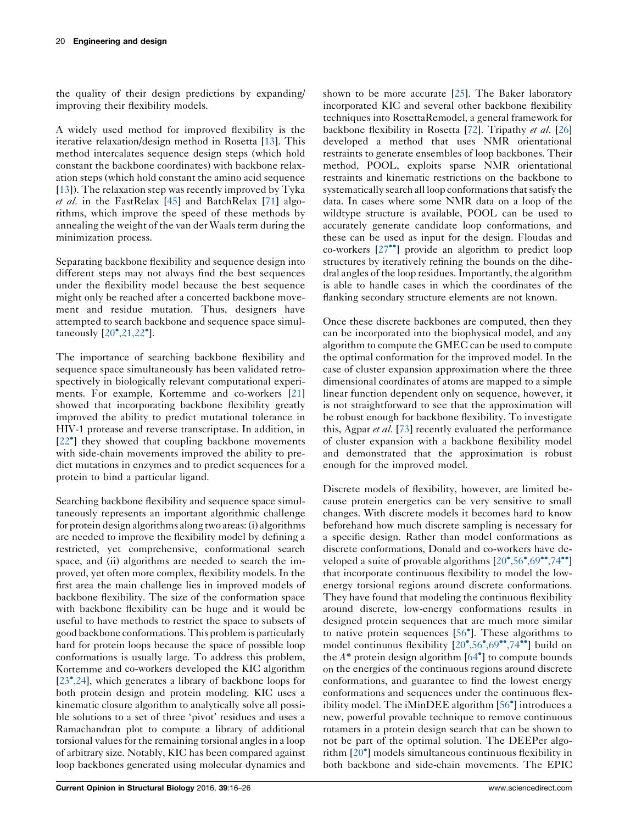the quality of their design predictions by expanding/ improving their flexibility models.

A widely used method for improved flexibility is the iterative relaxation/design method in Rosetta [[13\]](#page-7-0). This method intercalates sequence design steps (which hold constant the backbone coordinates) with backbone relaxation steps (which hold constant the amino acid sequence [\[13](#page-7-0)]). The relaxation step was recently improved by Tyka et al. in the FastRelax [\[45](#page-8-0)] and BatchRelax [[71\]](#page-9-0) algorithms, which improve the speed of these methods by annealing the weight of the van der Waals term during the minimization process.

Separating backbone flexibility and sequence design into different steps may not always find the best sequences under the flexibility model because the best sequence might only be reached after a concerted backbone movement and residue mutation. Thus, designers have attempted to search backbone and sequence space simul- $\text{taneously } [20^{\circ}, 21, 22^{\circ}].$  $\text{taneously } [20^{\circ}, 21, 22^{\circ}].$  $\text{taneously } [20^{\circ}, 21, 22^{\circ}].$ 

The importance of searching backbone flexibility and sequence space simultaneously has been validated retrospectively in biologically relevant computational experiments. For example, Kortemme and co-workers [[21\]](#page-8-0) showed that incorporating backbone flexibility greatly improved the ability to predict mutational tolerance in HIV-1 protease and reverse transcriptase. In addition, in [\[22](#page-8-0)<sup>\*</sup>] they showed that coupling backbone movements with side-chain movements improved the ability to predict mutations in enzymes and to predict sequences for a protein to bind a particular ligand.

Searching backbone flexibility and sequence space simultaneously represents an important algorithmic challenge for protein design algorithms along two areas:(i) algorithms are needed to improve the flexibility model by defining a restricted, yet comprehensive, conformational search space, and (ii) algorithms are needed to search the improved, yet often more complex, flexibility models. In the first area the main challenge lies in improved models of backbone flexibility. The size of the conformation space with backbone flexibility can be huge and it would be useful to have methods to restrict the space to subsets of good backbone conformations.This problem is particularly hard for protein loops because the space of possible loop conformations is usually large. To address this problem, Kortemme and co-workers developed the KIC algorithm [\[23](#page-8-0)<sup>\*</sup>[,24\]](#page-8-0), which generates a library of backbone loops for both protein design and protein modeling. KIC uses a kinematic closure algorithm to analytically solve all possible solutions to a set of three 'pivot' residues and uses a Ramachandran plot to compute a library of additional torsional valuesfor the remaining torsional angles in a loop of arbitrary size. Notably, KIC has been compared against loop backbones generated using molecular dynamics and

shown to be more accurate [[25\]](#page-8-0). The Baker laboratory incorporated KIC and several other backbone flexibility techniques into RosettaRemodel, a general framework for backbone flexibility in Rosetta [\[72](#page-9-0)]. Tripathy et al. [\[26\]](#page-8-0) developed a method that uses NMR orientational restraints to generate ensembles of loop backbones. Their method, POOL, exploits sparse NMR orientational restraints and kinematic restrictions on the backbone to systematically search all loop conformations that satisfy the data. In cases where some NMR data on a loop of the wildtype structure is available, POOL can be used to accurately generate candidate loop conformations, and these can be used as input for the design. Floudas and co-workers [[27](#page-8-0)<sup>••</sup>] provide an algorithm to predict loop structures by iteratively refining the bounds on the dihedral angles of the loop residues.Importantly, the algorithm is able to handle cases in which the coordinates of the flanking secondary structure elements are not known.

Once these discrete backbones are computed, then they can be incorporated into the biophysical model, and any algorithm to compute the GMEC can be used to compute the optimal conformation for the improved model. In the case of cluster expansion approximation where the three dimensional coordinates of atoms are mapped to a simple linear function dependent only on sequence, however, it is not straightforward to see that the approximation will be robust enough for backbone flexibility. To investigate this, Agpar et al. [[73\]](#page-9-0) recently evaluated the performance of cluster expansion with a backbone flexibility model and demonstrated that the approximation is robust enough for the improved model.

Discrete models of flexibility, however, are limited because protein energetics can be very sensitive to small changes. With discrete models it becomes hard to know beforehand how much discrete sampling is necessary for a specific design. Rather than model conformations as discrete conformations, Donald and co-workers have developed a suite of provable algorithms  $[20^{\circ}, 56^{\circ}, 69^{\circ\bullet}, 74^{\circ\bullet}]$  $[20^{\circ}, 56^{\circ}, 69^{\circ\bullet}, 74^{\circ\bullet}]$ that incorporate continuous flexibility to model the lowenergy torsional regions around discrete conformations. They have found that modeling the continuous flexibility around discrete, low-energy conformations results in designed protein sequences that are much more similar to native protein sequences [[56](#page-9-0)<sup>°</sup>]. These algorithms to model continuous flexibility [[20](#page-9-0)°[,56](#page-9-0)°[,69](#page-9-0)°°[,74](#page-9-0)°°] build on the  $A^*$  protein design algorithm  $[64^{\circ}]$  $[64^{\circ}]$  to compute bounds on the energies of the continuous regions around discrete conformations, and guarantee to find the lowest energy conformations and sequences under the continuous flex-ibility model. The iMinDEE algorithm [\[56](#page-9-0)<sup>°</sup>] introduces a new, powerful provable technique to remove continuous rotamers in a protein design search that can be shown to not be part of the optimal solution. The DEEPer algo-rithm [\[20](#page-7-0)<sup>°</sup>] models simultaneous continuous flexibility in both backbone and side-chain movements. The EPIC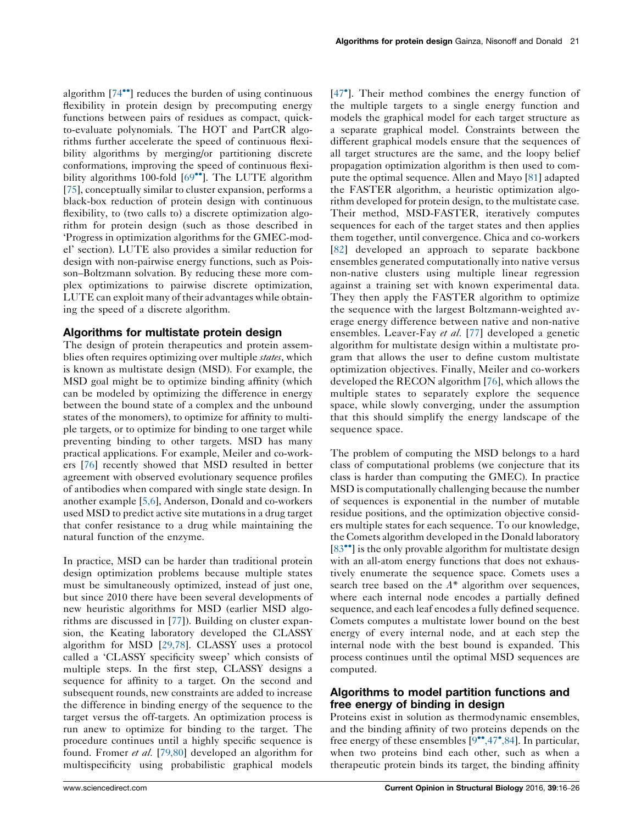algorithm [[74](#page-9-0)<sup>\*\*</sup>] reduces the burden of using continuous flexibility in protein design by precomputing energy functions between pairs of residues as compact, quickto-evaluate polynomials. The HOT and PartCR algorithms further accelerate the speed of continuous flexibility algorithms by merging/or partitioning discrete conformations, improving the speed of continuous flexi-bility algorithms 100-fold [[69](#page-9-0)"]. The LUTE algorithm [\[75](#page-9-0)], conceptually similar to cluster expansion, performs a black-box reduction of protein design with continuous flexibility, to (two calls to) a discrete optimization algorithm for protein design (such as those described in 'Progress in optimization algorithms for the GMEC-model' section). LUTE also provides a similar reduction for design with non-pairwise energy functions, such as Poisson–Boltzmann solvation. By reducing these more complex optimizations to pairwise discrete optimization, LUTE can exploit many of their advantages while obtaining the speed of a discrete algorithm.

### Algorithms for multistate protein design

The design of protein therapeutics and protein assemblies often requires optimizing over multiple *states*, which is known as multistate design (MSD). For example, the MSD goal might be to optimize binding affinity (which can be modeled by optimizing the difference in energy between the bound state of a complex and the unbound states of the monomers), to optimize for affinity to multiple targets, or to optimize for binding to one target while preventing binding to other targets. MSD has many practical applications. For example, Meiler and co-workers [\[76](#page-9-0)] recently showed that MSD resulted in better agreement with observed evolutionary sequence profiles of antibodies when compared with single state design. In another example [\[5,6\]](#page-7-0), Anderson, Donald and co-workers used MSD to predict active site mutations in a drug target that confer resistance to a drug while maintaining the natural function of the enzyme.

In practice, MSD can be harder than traditional protein design optimization problems because multiple states must be simultaneously optimized, instead of just one, but since 2010 there have been several developments of new heuristic algorithms for MSD (earlier MSD algorithms are discussed in [\[77](#page-9-0)]). Building on cluster expansion, the Keating laboratory developed the CLASSY algorithm for MSD [[29,78](#page-8-0)]. CLASSY uses a protocol called a 'CLASSY specificity sweep' which consists of multiple steps. In the first step, CLASSY designs a sequence for affinity to a target. On the second and subsequent rounds, new constraints are added to increase the difference in binding energy of the sequence to the target versus the off-targets. An optimization process is run anew to optimize for binding to the target. The procedure continues until a highly specific sequence is found. Fromer et al. [\[79,80\]](#page-10-0) developed an algorithm for multispecificity using probabilistic graphical models

[[47](#page-8-0)- ]. Their method combines the energy function of the multiple targets to a single energy function and models the graphical model for each target structure as a separate graphical model. Constraints between the different graphical models ensure that the sequences of all target structures are the same, and the loopy belief propagation optimization algorithm is then used to compute the optimal sequence. Allen and Mayo [[81\]](#page-10-0) adapted the FASTER algorithm, a heuristic optimization algorithm developed for protein design, to the multistate case. Their method, MSD-FASTER, iteratively computes sequences for each of the target states and then applies them together, until convergence. Chica and co-workers [[82\]](#page-10-0) developed an approach to separate backbone ensembles generated computationally into native versus non-native clusters using multiple linear regression against a training set with known experimental data. They then apply the FASTER algorithm to optimize the sequence with the largest Boltzmann-weighted average energy difference between native and non-native ensembles. Leaver-Fay et al. [\[77](#page-9-0)] developed a genetic algorithm for multistate design within a multistate program that allows the user to define custom multistate optimization objectives. Finally, Meiler and co-workers developed the RECON algorithm [[76](#page-9-0)], which allows the multiple states to separately explore the sequence space, while slowly converging, under the assumption that this should simplify the energy landscape of the sequence space.

The problem of computing the MSD belongs to a hard class of computational problems (we conjecture that its class is harder than computing the GMEC). In practice MSD is computationally challenging because the number of sequences is exponential in the number of mutable residue positions, and the optimization objective considers multiple states for each sequence. To our knowledge, the Comets algorithm developed in the Donald laboratory [[83](#page-10-0)<sup>••</sup>] is the only provable algorithm for multistate design with an all-atom energy functions that does not exhaustively enumerate the sequence space. Comets uses a search tree based on the  $A^*$  algorithm over sequences, where each internal node encodes a partially defined sequence, and each leaf encodes a fully defined sequence. Comets computes a multistate lower bound on the best energy of every internal node, and at each step the internal node with the best bound is expanded. This process continues until the optimal MSD sequences are computed.

# Algorithms to model partition functions and free energy of binding in design

Proteins exist in solution as thermodynamic ensembles, and the binding affinity of two proteins depends on the free energy of these ensembles [[9](#page-7-0)\*[,47](#page-7-0)\*[,84\]](#page-7-0). In particular, when two proteins bind each other, such as when a therapeutic protein binds its target, the binding affinity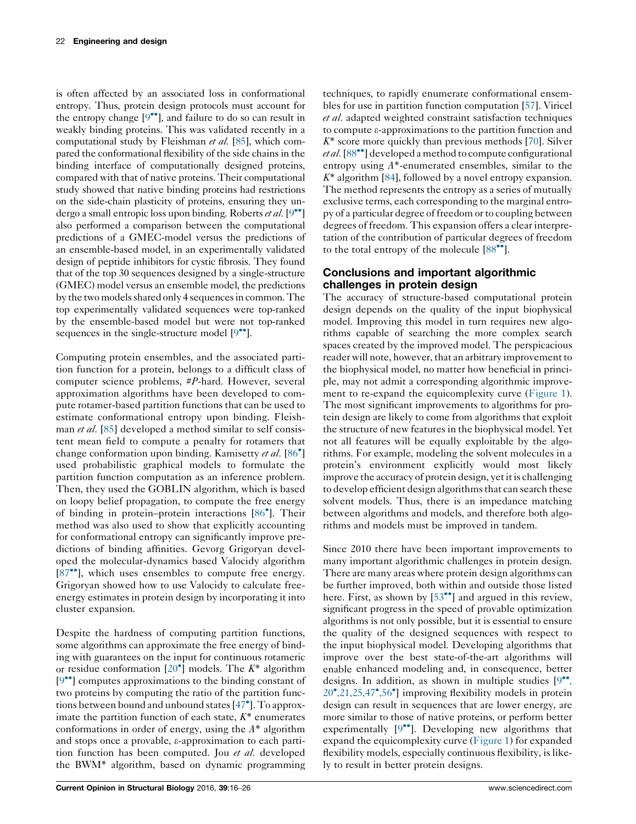is often affected by an associated loss in conformational entropy. Thus, protein design protocols must account for the entropy change [[9](#page-7-0)<sup>••</sup>], and failure to do so can result in weakly binding proteins. This was validated recently in a computational study by Fleishman et al. [\[85\]](#page-10-0), which compared the conformational flexibility of the side chains in the binding interface of computationally designed proteins, compared with that of native proteins. Their computational study showed that native binding proteins had restrictions on the side-chain plasticity of proteins, ensuring they un-dergo a small entropic loss upon binding. Roberts et al. [\[9](#page-7-0)<sup>oo</sup>] also performed a comparison between the computational predictions of a GMEC-model versus the predictions of an ensemble-based model, in an experimentally validated design of peptide inhibitors for cystic fibrosis. They found that of the top 30 sequences designed by a single-structure (GMEC) model versus an ensemble model, the predictions by the two models shared only 4 sequences in common. The top experimentally validated sequences were top-ranked by the ensemble-based model but were not top-ranked sequences in the single-structure model  $[9^{\bullet\bullet}]$  $[9^{\bullet\bullet}]$ .

Computing protein ensembles, and the associated partition function for a protein, belongs to a difficult class of computer science problems, #P-hard. However, several approximation algorithms have been developed to compute rotamer-based partition functions that can be used to estimate conformational entropy upon binding. Fleishman *et al.* [[85\]](#page-10-0) developed a method similar to self consistent mean field to compute a penalty for rotamers that change conformation upon binding. Kamisetty et al. [\[86](#page-10-0)<sup>°</sup>] used probabilistic graphical models to formulate the partition function computation as an inference problem. Then, they used the GOBLIN algorithm, which is based on loopy belief propagation, to compute the free energy of binding in protein-protein interactions [\[86](#page-10-0)°]. Their method was also used to show that explicitly accounting for conformational entropy can significantly improve predictions of binding affinities. Gevorg Grigoryan developed the molecular-dynamics based Valocidy algorithm [\[87](#page-10-0)\*\*], which uses ensembles to compute free energy. Grigoryan showed how to use Valocidy to calculate freeenergy estimates in protein design by incorporating it into cluster expansion.

Despite the hardness of computing partition functions, some algorithms can approximate the free energy of binding with guarantees on the input for continuous rotameric or residue conformation  $[20^{\circ}]$  $[20^{\circ}]$  models. The  $K^*$  algorithm [\[9](#page-7-0)\*\*] computes approximations to the binding constant of two proteins by computing the ratio of the partition functions between bound and unbound states  $[47^{\circ}]$  $[47^{\circ}]$  $[47^{\circ}]$ . To approximate the partition function of each state,  $K^*$  enumerates conformations in order of energy, using the  $A^*$  algorithm and stops once a provable, e-approximation to each partition function has been computed. Jou et al. developed the BWM\* algorithm, based on dynamic programming techniques, to rapidly enumerate conformational ensembles for use in partition function computation [[57\]](#page-9-0). Viricel et al. adapted weighted constraint satisfaction techniques to compute e-approximations to the partition function and  $K^*$  score more quickly than previous methods [[70\]](#page-9-0). Silver et al. [[88](#page-10-0)<sup>\*</sup>] developed a method to compute configurational entropy using A\*-enumerated ensembles, similar to the  $K^*$  algorithm [[84\]](#page-10-0), followed by a novel entropy expansion. The method represents the entropy as a series of mutually exclusive terms, each corresponding to the marginal entropy of a particular degree of freedom orto coupling between degrees of freedom. This expansion offers a clear interpretation of the contribution of particular degrees of freedom to the total entropy of the molecule [\[88](#page-10-0)\*\*].

### Conclusions and important algorithmic challenges in protein design

The accuracy of structure-based computational protein design depends on the quality of the input biophysical model. Improving this model in turn requires new algorithms capable of searching the more complex search spaces created by the improved model. The perspicacious reader will note, however, that an arbitrary improvement to the biophysical model, no matter how beneficial in principle, may not admit a corresponding algorithmic improvement to re-expand the equicomplexity curve [\(Figure](#page-1-0) 1). The most significant improvements to algorithms for protein design are likely to come from algorithms that exploit the structure of new features in the biophysical model. Yet not all features will be equally exploitable by the algorithms. For example, modeling the solvent molecules in a protein's environment explicitly would most likely improve the accuracy of protein design, yet it is challenging to develop efficient design algorithms that can search these solvent models. Thus, there is an impedance matching between algorithms and models, and therefore both algorithms and models must be improved in tandem.

Since 2010 there have been important improvements to many important algorithmic challenges in protein design. There are many areas where protein design algorithms can be further improved, both within and outside those listed here. First, as shown by [\[53](#page-9-0)<sup>\*\*</sup>] and argued in this review, significant progress in the speed of provable optimization algorithms is not only possible, but it is essential to ensure the quality of the designed sequences with respect to the input biophysical model. Developing algorithms that improve over the best state-of-the-art algorithms will enable enhanced modeling and, in consequence, better designs. In addition, as shown in multiple studies [\[9](#page-8-0)\*[,](#page-8-0) [20](#page-8-0)<sup>°</sup>[,21,25,47](#page-8-0)<sup>°</sup>[,56](#page-8-0)<sup>°</sup>] improving flexibility models in protein design can result in sequences that are lower energy, are more similar to those of native proteins, or perform better experimentally [\[9](#page-7-0)\*']. Developing new algorithms that expand the equicomplexity curve ([Figure](#page-1-0) 1) for expanded flexibility models, especially continuous flexibility, is likely to result in better protein designs.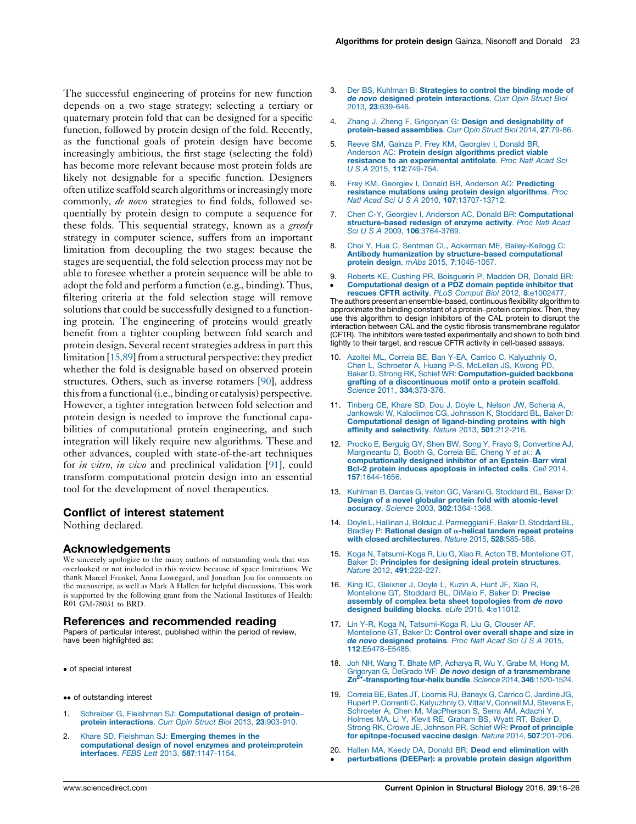<span id="page-7-0"></span>The successful engineering of proteins for new function depends on a two stage strategy: selecting a tertiary or quaternary protein fold that can be designed for a specific function, followed by protein design of the fold. Recently, as the functional goals of protein design have become increasingly ambitious, the first stage (selecting the fold) has become more relevant because most protein folds are likely not designable for a specific function. Designers often utilize scaffold search algorithms orincreasingly more commonly, de novo strategies to find folds, followed sequentially by protein design to compute a sequence for these folds. This sequential strategy, known as a *greedy* strategy in computer science, suffers from an important limitation from decoupling the two stages: because the stages are sequential, the fold selection process may not be able to foresee whether a protein sequence will be able to adopt the fold and perform a function (e.g., binding). Thus, filtering criteria at the fold selection stage will remove solutions that could be successfully designed to a functioning protein. The engineering of proteins would greatly benefit from a tighter coupling between fold search and protein design. Several recent strategies address in part this limitation  $[15,89]$  from a structural perspective: they predict whether the fold is designable based on observed protein structures. Others, such as inverse rotamers [\[90](#page-10-0)], address thisfrom a functional(i.e., binding or catalysis) perspective. However, a tighter integration between fold selection and protein design is needed to improve the functional capabilities of computational protein engineering, and such integration will likely require new algorithms. These and other advances, coupled with state-of-the-art techniques for *in vitro*, *in vivo* and preclinical validation [[91\]](#page-10-0), could transform computational protein design into an essential tool for the development of novel therapeutics.

# Conflict of interest statement

Nothing declared.

# Acknowledgements

We sincerely apologize to the many authors of outstanding work that was overlooked or not included in this review because of space limitations. We thank Marcel Frankel, Anna Lowegard, and Jonathan Jou for comments on the manuscript, as well as Mark A Hallen for helpful discussions. This work is supported by the following grant from the National Institutes of Health: R01 GM-78031 to BRD.

# References and recommended reading

Papers of particular interest, published within the period of review, have been highlighted as:

- of special interest
- •• of outstanding interest
- 1. Schreiber G, Fleishman SJ: [Computational](http://refhub.elsevier.com/S0959-440X(16)30015-X/sbref0005) design of proteinprotein [interactions](http://refhub.elsevier.com/S0959-440X(16)30015-X/sbref0005). Curr Opin Struct Biol 2013, 23:903-910.
- 2. Khare SD, Fleishman SJ: [Emerging](http://refhub.elsevier.com/S0959-440X(16)30015-X/sbref0010) themes in the computational design of novel enzymes and [protein:protein](http://refhub.elsevier.com/S0959-440X(16)30015-X/sbref0010) interfaces. FEBS Lett 2013, 587[:1147-1154.](http://refhub.elsevier.com/S0959-440X(16)30015-X/sbref0010)
- Der BS, Kuhlman B: [Strategies](http://refhub.elsevier.com/S0959-440X(16)30015-X/sbref0015) to control the binding mode of de novo designed protein [interactions](http://refhub.elsevier.com/S0959-440X(16)30015-X/sbref0015). Curr Opin Struct Bio 2013, 23[:639-646.](http://refhub.elsevier.com/S0959-440X(16)30015-X/sbref0015)
- 4. Zhang J, Zheng F, Grigoryan G: Design and [designability](http://refhub.elsevier.com/S0959-440X(16)30015-X/sbref0020) of [protein-based](http://refhub.elsevier.com/S0959-440X(16)30015-X/sbref0020) assemblies. Curr Opin Struct Biol 2014, 27:79-86.
- 5. Reeve SM, Gainza P, Frey KM, [Georgiev](http://refhub.elsevier.com/S0959-440X(16)30015-X/sbref0025) I, Donald BR, Anderson AC: Protein design [algorithms](http://refhub.elsevier.com/S0959-440X(16)30015-X/sbref0025) predict viable resistance to an [experimental](http://refhub.elsevier.com/S0959-440X(16)30015-X/sbref0025) antifolate. Proc Natl Acad Sci U S A 2015, 112[:749-754.](http://refhub.elsevier.com/S0959-440X(16)30015-X/sbref0025)
- 6. Frey KM, Georgiev I, Donald BR, Anderson AC: [Predicting](http://refhub.elsevier.com/S0959-440X(16)30015-X/sbref0030) resistance mutations using protein design [algorithms](http://refhub.elsevier.com/S0959-440X(16)30015-X/sbref0030). Proc Natl Acad Sci U S A 2010, 107[:13707-13712.](http://refhub.elsevier.com/S0959-440X(16)30015-X/sbref0030)
- 7. Chen C-Y, Georgiev I, Anderson AC, Donald BR: [Computational](http://refhub.elsevier.com/S0959-440X(16)30015-X/sbref0035) [structure-based](http://refhub.elsevier.com/S0959-440X(16)30015-X/sbref0035) redesign of enzyme activity. Proc Natl Acad Sci U S A 2009, 106[:3764-3769.](http://refhub.elsevier.com/S0959-440X(16)30015-X/sbref0035)
- 8. Choi Y, Hua C, Sentman CL, Ackerman ME, [Bailey-Kellogg](http://refhub.elsevier.com/S0959-440X(16)30015-X/sbref0040) C: Antibody humanization by [structure-based](http://refhub.elsevier.com/S0959-440X(16)30015-X/sbref0040) computational protein design. mAbs 2015, 7[:1045-1057.](http://refhub.elsevier.com/S0959-440X(16)30015-X/sbref0040)
- 9. -Roberts KE, Cushing PR, [Boisguerin](http://refhub.elsevier.com/S0959-440X(16)30015-X/sbref0045) P, Madden DR, Donald BR: [Computational](http://refhub.elsevier.com/S0959-440X(16)30015-X/sbref0045) design of a PDZ domain peptide inhibitor that

rescues CFTR activity. PLoS Comput Biol 2012, 8[:e1002477.](http://refhub.elsevier.com/S0959-440X(16)30015-X/sbref0045) The authors present an ensemble-based, continuous flexibility algorithm to approximate the binding constant of a protein–protein complex. Then, they use this algorithm to design inhibitors of the CAL protein to disrupt the interaction between CAL and the cystic fibrosis transmembrane regulator (CFTR). The inhibitors were tested experimentally and shown to both bind tightly to their target, and rescue CFTR activity in cell-based assays.

- 10. Azoitei ML, Correia BE, Ban Y-EA, Carrico C, [Kalyuzhniy](http://refhub.elsevier.com/S0959-440X(16)30015-X/sbref0050) O, Chen L, [Schroeter](http://refhub.elsevier.com/S0959-440X(16)30015-X/sbref0050) A, Huang P-S, McLellan JS, Kwong PD,<br>Baker D, Strong RK, Schief WR: Computation-guided backbone Baker D, Strong RK, Schief WR: [Computation-guided](http://refhub.elsevier.com/S0959-440X(16)30015-X/sbref0050) backbone grafting of a [discontinuous](http://refhub.elsevier.com/S0959-440X(16)30015-X/sbref0050) motif onto a protein scaffold. cience 2011, 334[:373-376.](http://refhub.elsevier.com/S0959-440X(16)30015-X/sbref0050)
- 11. Tinberg CE, Khare SD, Dou J, Doyle L, Nelson JW, [Schena](http://refhub.elsevier.com/S0959-440X(16)30015-X/sbref0055) A, Jankowski W, [Kalodimos](http://refhub.elsevier.com/S0959-440X(16)30015-X/sbref0055) CG, Johnsson K, Stoddard BL, Baker D: [Computational](http://refhub.elsevier.com/S0959-440X(16)30015-X/sbref0055) design of ligand-binding proteins with high affinity and [selectivity](http://refhub.elsevier.com/S0959-440X(16)30015-X/sbref0055). Nature 2013, 501:212-216.
- 12. Procko E, Berguig GY, Shen BW, Song Y, Frayo S, [Convertine](http://refhub.elsevier.com/S0959-440X(16)30015-X/sbref0060) AJ, [Margineantu](http://refhub.elsevier.com/S0959-440X(16)30015-X/sbref0060) D, Booth G, Correia BE, Cheng Y et al.: A [computationally](http://refhub.elsevier.com/S0959-440X(16)30015-X/sbref0060) designed inhibitor of an Epstein–Barr viral Bcl-2 protein induces [apoptosis](http://refhub.elsevier.com/S0959-440X(16)30015-X/sbref0060) in infected cells. Cell 2014, 157[:1644-1656.](http://refhub.elsevier.com/S0959-440X(16)30015-X/sbref0060)
- 13. Kuhlman B, Dantas G, Ireton GC, Varani G, [Stoddard](http://refhub.elsevier.com/S0959-440X(16)30015-X/sbref0065) BL, Baker D: Design of a novel globular protein fold with [atomic-level](http://refhub.elsevier.com/S0959-440X(16)30015-X/sbref0065) accuracy. Science 2003, 302[:1364-1368.](http://refhub.elsevier.com/S0959-440X(16)30015-X/sbref0065)
- 14. Doyle L, Hallinan J, Bolduc J, [Parmeggiani](http://refhub.elsevier.com/S0959-440X(16)30015-X/sbref0070) F, Baker D, Stoddard BL, Bradley P: [Rational](http://refhub.elsevier.com/S0959-440X(16)30015-X/sbref0070) design of  $\alpha$ -helical tandem repeat proteins with closed [architectures](http://refhub.elsevier.com/S0959-440X(16)30015-X/sbref0070). Nature 2015, 528:585-588.
- 15. Koga N, [Tatsumi-Koga](http://refhub.elsevier.com/S0959-440X(16)30015-X/sbref0075) R, Liu G, Xiao R, Acton TB, Montelione GT, Baker D: Principles for designing ideal protein [structures](http://refhub.elsevier.com/S0959-440X(16)30015-X/sbref0075). Nature 2012, 491[:222-227.](http://refhub.elsevier.com/S0959-440X(16)30015-X/sbref0075)
- 16. King IC, [Gleixner](http://refhub.elsevier.com/S0959-440X(16)30015-X/sbref0080) J, Doyle L, Kuzin A, Hunt JF, Xiao R, [Montelione](http://refhub.elsevier.com/S0959-440X(16)30015-X/sbref0080) GT, Stoddard BL, DiMaio F, Baker D: Precise assembly of complex beta sheet [topologies](http://refhub.elsevier.com/S0959-440X(16)30015-X/sbref0080) from de novo [designed](http://refhub.elsevier.com/S0959-440X(16)30015-X/sbref0080) building blocks. eLife 2016, 4:e11012.
- 17. Lin Y-R, Koga N, [Tatsumi-Koga](http://refhub.elsevier.com/S0959-440X(16)30015-X/sbref0085) R, Liu G, Clouser AF, [Montelione](http://refhub.elsevier.com/S0959-440X(16)30015-X/sbref0085) GT, Baker D: Control over overall shape and size in de novo [designed](http://refhub.elsevier.com/S0959-440X(16)30015-X/sbref0085) proteins. Proc Natl Acad Sci U S A 2015, 112[:E5478-E5485.](http://refhub.elsevier.com/S0959-440X(16)30015-X/sbref0085)
- 18. Joh NH, Wang T, Bhate MP, [Acharya](http://refhub.elsevier.com/S0959-440X(16)30015-X/sbref0090) R, Wu Y, Grabe M, Hong M, Grigoryan G, DeGrado WF: *De novo design of a [transmembrane](http://refhub.elsevier.com/S0959-440X(16)30015-X/sbref0090)*<br>Zn<sup>2+</sup>-transporting four-helix bundle. Science 2014, 346:1520-1524.
- 19. Correia BE, Bates JT, Loomis RJ, [Baneyx](http://refhub.elsevier.com/S0959-440X(16)30015-X/sbref0095) G, Carrico C, Jardine JG, Rupert P, Correnti C, [Kalyuzhniy](http://refhub.elsevier.com/S0959-440X(16)30015-X/sbref0095) O, Vittal V, Connell MJ, Stevens E, Schroeter A, Chen M, [MacPherson](http://refhub.elsevier.com/S0959-440X(16)30015-X/sbref0095) S, Serra AM, Adachi Y, Holmes MA, Li Y, Klevit RE, [Graham](http://refhub.elsevier.com/S0959-440X(16)30015-X/sbref0095) BS, Wyatt RT, Baker D, Strong RK, Crowe JE, Johnson PR, Schief WR: Proof of [principle](http://refhub.elsevier.com/S0959-440X(16)30015-X/sbref0095) for [epitope-focused](http://refhub.elsevier.com/S0959-440X(16)30015-X/sbref0095) vaccine design. Nature 2014, 507:201-206.
- 20. Hallen MA, Keedy DA, Donald BR: Dead end [elimination](http://refhub.elsevier.com/S0959-440X(16)30015-X/sbref0100) with
- [perturbations](http://refhub.elsevier.com/S0959-440X(16)30015-X/sbref0100) (DEEPer): a provable protein design algorithm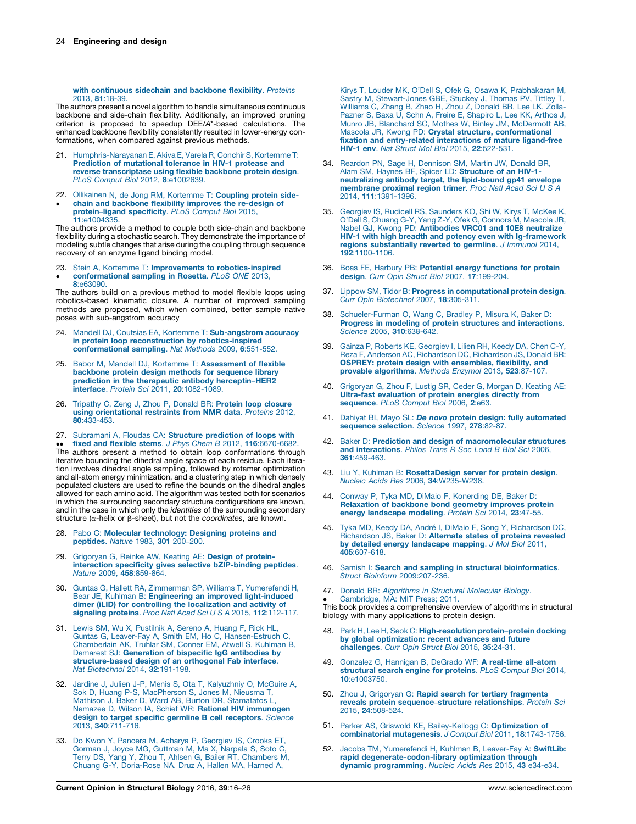#### <span id="page-8-0"></span>with [continuous](http://refhub.elsevier.com/S0959-440X(16)30015-X/sbref0100) sidechain and backbone flexibility. Proteins 2013, 81[:18-39.](http://refhub.elsevier.com/S0959-440X(16)30015-X/sbref0100)

The authors present a novel algorithm to handle simultaneous continuous backbone and side-chain flexibility. Additionally, an improved pruning criterion is proposed to speedup DEE/A\*-based calculations. The enhanced backbone flexibility consistently resulted in lower-energy conformations, when compared against previous methods.

- 21. [Humphris-Narayanan](http://refhub.elsevier.com/S0959-440X(16)30015-X/sbref0105) E, Akiva E, Varela R, Conchir S, Kortemme T: Prediction of [mutational](http://refhub.elsevier.com/S0959-440X(16)30015-X/sbref0105) tolerance in HIV-1 protease and reverse [transcriptase](http://refhub.elsevier.com/S0959-440X(16)30015-X/sbref0105) using flexible backbone protein design. PLoS Comput Biol 2012, 8[:e1002639.](http://refhub.elsevier.com/S0959-440X(16)30015-X/sbref0105)
- 22. Ollikainen N, de Jong RM, [Kortemme](http://refhub.elsevier.com/S0959-440X(16)30015-X/sbref0110) T: **Coupling protein side-** $\bullet$ chain and [backbone](http://refhub.elsevier.com/S0959-440X(16)30015-X/sbref0110) flexibility improves the re-design of protein–ligand [specificity](http://refhub.elsevier.com/S0959-440X(16)30015-X/sbref0110). PLoS Comput Biol 2015, 11[:e1004335.](http://refhub.elsevier.com/S0959-440X(16)30015-X/sbref0110)

The authors provide a method to couple both side-chain and backbone flexibility during a stochastic search. They demonstrate the importance of modeling subtle changes that arise during the coupling through sequence recovery of an enzyme ligand binding model.

23.  $\bullet$ Stein A, Kortemme T: Improvements to [robotics-inspired](http://refhub.elsevier.com/S0959-440X(16)30015-X/sbref0115) [conformational](http://refhub.elsevier.com/S0959-440X(16)30015-X/sbref0115) sampling in Rosetta. PLoS ONE 2013, 8[:e63090.](http://refhub.elsevier.com/S0959-440X(16)30015-X/sbref0115)

The authors build on a previous method to model flexible loops using robotics-based kinematic closure. A number of improved sampling methods are proposed, which when combined, better sample native poses with sub-angstrom accuracy

- 24. Mandell DJ, Coutsias EA, Kortemme T: [Sub-angstrom](http://refhub.elsevier.com/S0959-440X(16)30015-X/sbref0120) accuracy in protein loop reconstruction by [robotics-inspired](http://refhub.elsevier.com/S0959-440X(16)30015-X/sbref0120) [conformational](http://refhub.elsevier.com/S0959-440X(16)30015-X/sbref0120) sampling. Nat Methods 2009, 6:551-552.
- 25. Babor M, Mandell DJ, Kortemme T: [Assessment](http://refhub.elsevier.com/S0959-440X(16)30015-X/sbref0125) of flexible [backbone](http://refhub.elsevier.com/S0959-440X(16)30015-X/sbref0125) protein design methods for sequence library prediction in the [therapeutic](http://refhub.elsevier.com/S0959-440X(16)30015-X/sbref0125) antibody herceptin–HER2 interface. Protein Sci 2011, 20[:1082-1089.](http://refhub.elsevier.com/S0959-440X(16)30015-X/sbref0125)
- 26. [Tripathy](http://refhub.elsevier.com/S0959-440X(16)30015-X/sbref0130) C, Zeng J, Zhou P, Donald BR: Protein loop closure using [orientational](http://refhub.elsevier.com/S0959-440X(16)30015-X/sbref0130) restraints from NMR data. Proteins 2012, 80[:433-453.](http://refhub.elsevier.com/S0959-440X(16)30015-X/sbref0130)
- 27. Subramani A, Floudas CA: Structure [prediction](http://refhub.elsevier.com/S0959-440X(16)30015-X/sbref0135) of loops with

 $\bullet$  $\bullet$ fixed and flexible stems. J Phys Chem B 2012, 116:6670-6682 The authors present a method to obtain loop conformations through iterative bounding the dihedral angle space of each residue. Each iteration involves dihedral angle sampling, followed by rotamer optimization and all-atom energy minimization, and a clustering step in which densely populated clusters are used to refine the bounds on the dihedral angles allowed for each amino acid. The algorithm was tested both for scenarios in which the surrounding secondary structure configurations are known, and in the case in which only the identities of the surrounding secondary structure ( $\alpha$ -helix or  $\beta$ -sheet), but not the coordinates, are known.

- 28. Pabo C: Molecular [technology:](http://refhub.elsevier.com/S0959-440X(16)30015-X/sbref0140) Designing proteins and [peptides](http://refhub.elsevier.com/S0959-440X(16)30015-X/sbref0140). Nature 1983, 301 200–200.
- 29. [Grigoryan](http://refhub.elsevier.com/S0959-440X(16)30015-X/sbref0145) G, Reinke AW, Keating AE: Design of protein-<br>interaction specificity gives selective [bZIP-binding](http://refhub.elsevier.com/S0959-440X(16)30015-X/sbref0145) peptides. Nature 2009, 458[:859-864.](http://refhub.elsevier.com/S0959-440X(16)30015-X/sbref0145)
- 30. Guntas G, Hallett RA, Zimmerman SP, Williams T, [Yumerefendi](http://refhub.elsevier.com/S0959-440X(16)30015-X/sbref0150) H, Bear JE, Kuhlman B: Engineering an improved [light-induced](http://refhub.elsevier.com/S0959-440X(16)30015-X/sbref0150) dimer (iLID) for controlling the [localization](http://refhub.elsevier.com/S0959-440X(16)30015-X/sbref0150) and activity of [signaling](http://refhub.elsevier.com/S0959-440X(16)30015-X/sbref0150) proteins. Proc Natl Acad Sci U S A 2015, 112:112-117.
- 31. Lewis SM, Wu X, [Pustilnik](http://refhub.elsevier.com/S0959-440X(16)30015-X/sbref0155) A, Sereno A, Huang F, Rick HL, Guntas G, Leaver-Fay A, Smith EM, Ho C, [Hansen-Estruch](http://refhub.elsevier.com/S0959-440X(16)30015-X/sbref0155) C, [Chamberlain](http://refhub.elsevier.com/S0959-440X(16)30015-X/sbref0155) AK, Truhlar SM, Conner EM, Atwell S, Kuhlman B, Demarest SJ: [Generation](http://refhub.elsevier.com/S0959-440X(16)30015-X/sbref0155) of bispecific IgG antibodies by [structure-based](http://refhub.elsevier.com/S0959-440X(16)30015-X/sbref0155) design of an orthogonal Fab interface. Nat [Biotechnol](http://refhub.elsevier.com/S0959-440X(16)30015-X/sbref0155) 2014, 32:191-198.
- 32. Jardine J, Julien J-P, Menis S, Ota T, [Kalyuzhniy](http://refhub.elsevier.com/S0959-440X(16)30015-X/sbref0160) O, McGuire A, Sok D, Huang P-S, [MacPherson](http://refhub.elsevier.com/S0959-440X(16)30015-X/sbref0160) S, Jones M, Nieusma T, Mathison J, Baker D, Ward AB, Burton DR, [Stamatatos](http://refhub.elsevier.com/S0959-440X(16)30015-X/sbref0160) L, Nemazee D, Wilson IA, Schief WR: Rational HIV [immunogen](http://refhub.elsevier.com/S0959-440X(16)30015-X/sbref0160) **design to target specific germline B cell [receptors](http://refhub.elsevier.com/S0959-440X(16)30015-X/sbref0160)**. Science<br>2013, **340**[:711-716.](http://refhub.elsevier.com/S0959-440X(16)30015-X/sbref0160)
- 33. Do Kwon Y, Pancera M, Acharya P, [Georgiev](http://refhub.elsevier.com/S0959-440X(16)30015-X/sbref0165) IS, Crooks ET, Gorman J, Joyce MG, [Guttman](http://refhub.elsevier.com/S0959-440X(16)30015-X/sbref0165) M, Ma X, Narpala S, Soto C, Terry DS, Yang Y, Zhou T, Ahlsen G, Bailer RT, [Chambers](http://refhub.elsevier.com/S0959-440X(16)30015-X/sbref0165) M, Chuang G-Y, [Doria-Rose](http://refhub.elsevier.com/S0959-440X(16)30015-X/sbref0165) NA, Druz A, Hallen MA, Harned A,

Kirys T, Louder MK, O'Dell S, Ofek G, Osawa K, [Prabhakaran](http://refhub.elsevier.com/S0959-440X(16)30015-X/sbref0165) M, Sastry M, [Stewart-Jones](http://refhub.elsevier.com/S0959-440X(16)30015-X/sbref0165) GBE, Stuckey J, Thomas PV, Tittley T, [Williams](http://refhub.elsevier.com/S0959-440X(16)30015-X/sbref0165) C, Zhang B, Zhao H, Zhou Z, Donald BR, Lee LK, Zolla-Pazner S, Baxa U, Schn A, Freire E, [Shapiro](http://refhub.elsevier.com/S0959-440X(16)30015-X/sbref0165) L, Lee KK, Arthos J, Munro JB, Blanchard SC, Mothes W, Binley JM, [McDermott](http://refhub.elsevier.com/S0959-440X(16)30015-X/sbref0165) AB, Mascola JR, Kwong PD: Crystal structure, [conformational](http://refhub.elsevier.com/S0959-440X(16)30015-X/sbref0165) fixation and [entry-related](http://refhub.elsevier.com/S0959-440X(16)30015-X/sbref0165) interactions of mature ligand-free HIV-1 env. Nat Struct Mol Biol 2015, 22[:522-531.](http://refhub.elsevier.com/S0959-440X(16)30015-X/sbref0165)

- 34. Reardon PN, Sage H, [Dennison](http://refhub.elsevier.com/S0959-440X(16)30015-X/sbref0170) SM, Martin JW, Donald BR, Alam SM, Haynes BF, Spicer LD: [Structure](http://refhub.elsevier.com/S0959-440X(16)30015-X/sbref0170) of an HIV-1 [neutralizing](http://refhub.elsevier.com/S0959-440X(16)30015-X/sbref0170) antibody target, the lipid-bound gp41 envelope [membrane](http://refhub.elsevier.com/S0959-440X(16)30015-X/sbref0170) proximal region trimer. Proc Natl Acad Sci U S A 2014, 111[:1391-1396.](http://refhub.elsevier.com/S0959-440X(16)30015-X/sbref0170)
- 35. Georgiev IS, Rudicell RS, [Saunders](http://refhub.elsevier.com/S0959-440X(16)30015-X/sbref0175) KO, Shi W, Kirys T, McKee K, O'Dell S, Chuang G-Y, Yang Z-Y, Ofek G, [Connors](http://refhub.elsevier.com/S0959-440X(16)30015-X/sbref0175) M, Mascola JR, Nabel GJ, Kwong PD: [Antibodies](http://refhub.elsevier.com/S0959-440X(16)30015-X/sbref0175) VRC01 and 10E8 neutralize HIV-1 with high breadth and potency even with [Ig-framework](http://refhub.elsevier.com/S0959-440X(16)30015-X/sbref0175) regions [substantially](http://refhub.elsevier.com/S0959-440X(16)30015-X/sbref0175) reverted to germline. J Immunol 2014, 192[:1100-1106.](http://refhub.elsevier.com/S0959-440X(16)30015-X/sbref0175)
- 36. Boas FE, Harbury PB: Potential energy [functions](http://refhub.elsevier.com/S0959-440X(16)30015-X/sbref0180) for protein design. Curr Opin Struct Biol 2007, 17[:199-204.](http://refhub.elsevier.com/S0959-440X(16)30015-X/sbref0180)
- 37. Lippow SM, Tidor B: Progress in [computational](http://refhub.elsevier.com/S0959-440X(16)30015-X/sbref0185) protein design. Curr Opin [Biotechnol](http://refhub.elsevier.com/S0959-440X(16)30015-X/sbref0185) 2007, 18:305-311.
- 38. [Schueler-Furman](http://refhub.elsevier.com/S0959-440X(16)30015-X/sbref0190) O, Wang C, Bradley P, Misura K, Baker D: Progress in modeling of protein structures and [interactions](http://refhub.elsevier.com/S0959-440X(16)30015-X/sbref0190). Science 2005, 310[:638-642.](http://refhub.elsevier.com/S0959-440X(16)30015-X/sbref0190)
- 39. Gainza P, Roberts KE, [Georgiev](http://refhub.elsevier.com/S0959-440X(16)30015-X/sbref0195) I, Lilien RH, Keedy DA, Chen C-Y, Reza F, Anderson AC, [Richardson](http://refhub.elsevier.com/S0959-440X(16)30015-X/sbref0195) DC, Richardson JS, Donald BR: OSPREY: protein design with [ensembles,](http://refhub.elsevier.com/S0959-440X(16)30015-X/sbref0195) flexibility, and provable [algorithms](http://refhub.elsevier.com/S0959-440X(16)30015-X/sbref0195). Methods Enzymol 2013, 523:87-107.
- 40. [Grigoryan](http://refhub.elsevier.com/S0959-440X(16)30015-X/sbref0200) G, Zhou F, Lustig SR, Ceder G, Morgan D, Keating AE: Ultra-fast [evaluation](http://refhub.elsevier.com/S0959-440X(16)30015-X/sbref0200) of protein energies directly from [sequence](http://refhub.elsevier.com/S0959-440X(16)30015-X/sbref0200). PLoS Comput Biol 2006, 2:e63.
- 41. Dahiyat BI, Mayo SL: **De novo protein design: fully [automated](http://refhub.elsevier.com/S0959-440X(16)30015-X/sbref0205)**<br>[sequence](http://refhub.elsevier.com/S0959-440X(16)30015-X/sbref0205) selection. Science 1997, 278:82-87.
- 42. Baker D: Prediction and design of [macromolecular](http://refhub.elsevier.com/S0959-440X(16)30015-X/sbref0210) structures and [interactions](http://refhub.elsevier.com/S0959-440X(16)30015-X/sbref0210). Philos Trans R Soc Lond B Biol Sci 2006, 361[:459-463.](http://refhub.elsevier.com/S0959-440X(16)30015-X/sbref0210)
- 43. Liu Y, Kuhlman B: [RosettaDesign](http://refhub.elsevier.com/S0959-440X(16)30015-X/sbref0215) server for protein design. Nucleic Acids Res 2006, 34[:W235-W238.](http://refhub.elsevier.com/S0959-440X(16)30015-X/sbref0215)
- 44. Conway P, Tyka MD, DiMaio F, [Konerding](http://refhub.elsevier.com/S0959-440X(16)30015-X/sbref0220) DE, Baker D: [Relaxation](http://refhub.elsevier.com/S0959-440X(16)30015-X/sbref0220) of backbone bond geometry improves protein energy [landscape](http://refhub.elsevier.com/S0959-440X(16)30015-X/sbref0220) modeling. Protein Sci 2014, 23:47-55.
- 45. Tyka MD, Keedy DA, André I, DiMaio F, Song Y, [Richardson](http://refhub.elsevier.com/S0959-440X(16)30015-X/sbref0225) DC,<br>Richardson JS, Baker D: Alternate states of proteins revealed by detailed energy [landscape](http://refhub.elsevier.com/S0959-440X(16)30015-X/sbref0225) mapping. J Mol Biol 2011, 405[:607-618.](http://refhub.elsevier.com/S0959-440X(16)30015-X/sbref0225)
- 46. Samish I: Search and sampling in structural [bioinformatics](http://refhub.elsevier.com/S0959-440X(16)30015-X/sbref0230). Struct Bioinform [2009:207-236.](http://refhub.elsevier.com/S0959-440X(16)30015-X/sbref0230)
- 47. Donald BR: [Algorithms](http://refhub.elsevier.com/S0959-440X(16)30015-X/sbref0235) in Structural Molecular Biology. - This book provides a comprehensive overview of algorithms in structural [Cambridge,](http://refhub.elsevier.com/S0959-440X(16)30015-X/sbref0235) MA: MIT Press; 2011.

biology with many applications to protein design.

- 48. Park H, Lee H, Seok C: [High-resolution](http://refhub.elsevier.com/S0959-440X(16)30015-X/sbref0240) protein–protein docking by global [optimization:](http://refhub.elsevier.com/S0959-440X(16)30015-X/sbref0240) recent advances and future [challenges](http://refhub.elsevier.com/S0959-440X(16)30015-X/sbref0240). Curr Opin Struct Biol 2015, 35:24-31.
- 49. Gonzalez G, Hannigan B, DeGrado WF: A [real-time](http://refhub.elsevier.com/S0959-440X(16)30015-X/sbref0245) all-atom [structural](http://refhub.elsevier.com/S0959-440X(16)30015-X/sbref0245) search engine for proteins. PLoS Comput Biol 2014, 10[:e1003750.](http://refhub.elsevier.com/S0959-440X(16)30015-X/sbref0245)
- 50. Zhou J, Grigoryan G: Rapid search for tertiary [fragments](http://refhub.elsevier.com/S0959-440X(16)30015-X/sbref0250) reveals protein sequence–structure [relationships](http://refhub.elsevier.com/S0959-440X(16)30015-X/sbref0250). Protein Sci 2015, 24[:508-524.](http://refhub.elsevier.com/S0959-440X(16)30015-X/sbref0250)
- 51. Parker AS, Griswold KE, [Bailey-Kellogg](http://refhub.elsevier.com/S0959-440X(16)30015-X/sbref0255) C: Optimization of [combinatorial](http://refhub.elsevier.com/S0959-440X(16)30015-X/sbref0255) mutagenesis. J Comput Biol 2011, 18:1743-1756.
- 52. Jacobs TM, [Yumerefendi](http://refhub.elsevier.com/S0959-440X(16)30015-X/sbref0260) H, Kuhlman B, Leaver-Fay A: SwiftLib: rapid [degenerate-codon-library](http://refhub.elsevier.com/S0959-440X(16)30015-X/sbref0260) optimization through dynamic [programming](http://refhub.elsevier.com/S0959-440X(16)30015-X/sbref0260). Nucleic Acids Res 2015, 43 e34-e34.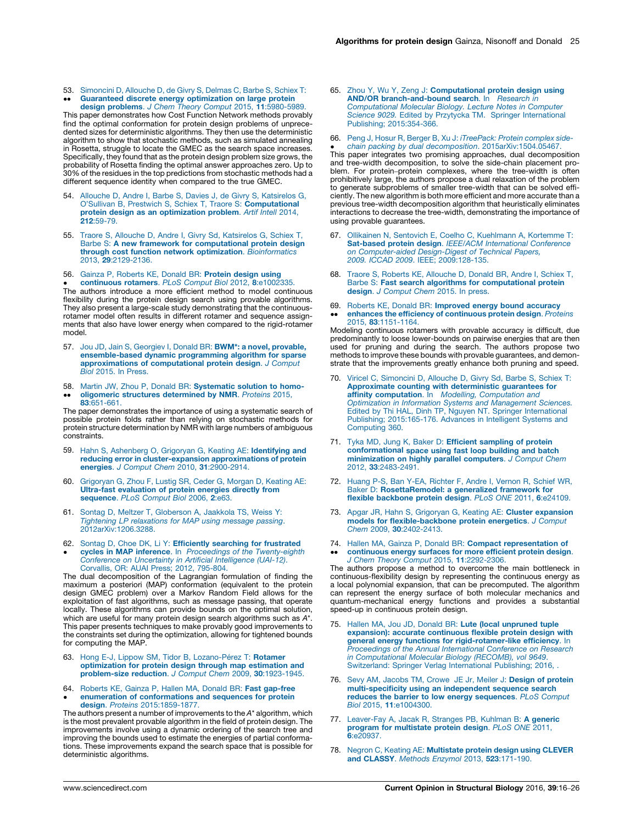<span id="page-9-0"></span>53. [Simoncini](http://refhub.elsevier.com/S0959-440X(16)30015-X/sbref0265) D, Allouche D, de Givry S, Delmas C, Barbe S, Schiex T:  $\bullet$ -Guaranteed discrete energy [optimization](http://refhub.elsevier.com/S0959-440X(16)30015-X/sbref0265) on large protein design problems. J Chem Theory Comput 2015, 11[:5980-5989.](http://refhub.elsevier.com/S0959-440X(16)30015-X/sbref0265)

This paper demonstrates how Cost Function Network methods provably find the optimal conformation for protein design problems of unprecedented sizes for deterministic algorithms. They then use the deterministic algorithm to show that stochastic methods, such as simulated annealing in Rosetta, struggle to locate the GMEC as the search space increases. Specifically, they found that as the protein design problem size grows, the probability of Rosetta finding the optimal answer approaches zero. Up to 30% of the residues in the top predictions from stochastic methods had a different sequence identity when compared to the true GMEC.

- 54. Allouche D, Andre I, Barbe S, Davies J, de Givry S, [Katsirelos](http://refhub.elsevier.com/S0959-440X(16)30015-X/sbref0270) G, O'Sullivan B, Prestwich S, Schiex T, Traore S: [Computational](http://refhub.elsevier.com/S0959-440X(16)30015-X/sbref0270) protein design as an [optimization](http://refhub.elsevier.com/S0959-440X(16)30015-X/sbref0270) problem. Artif Intell 2014, 212[:59-79.](http://refhub.elsevier.com/S0959-440X(16)30015-X/sbref0270)
- 55. Traore S, Allouche D, Andre I, Givry Sd, [Katsirelos](http://refhub.elsevier.com/S0959-440X(16)30015-X/sbref0275) G, Schiex T, Barbe S: A new framework for [computational](http://refhub.elsevier.com/S0959-440X(16)30015-X/sbref0275) protein design through cost function network optimization. [Bioinformatics](http://refhub.elsevier.com/S0959-440X(16)30015-X/sbref0275) 2013, 29[:2129-2136.](http://refhub.elsevier.com/S0959-440X(16)30015-X/sbref0275)
- 56. Gainza P, [Roberts](http://refhub.elsevier.com/S0959-440X(16)30015-X/sbref0280) KE, Donald BR: Protein design using [continuous](http://refhub.elsevier.com/S0959-440X(16)30015-X/sbref0280) rotamers. PLoS Comput Biol 2012, 8:e1002335.

**• continuous rotamers**. PLoS Comput Biol 2012, 8:e1002335.<br>The authors introduce a more efficient method to model continuous flexibility during the protein design search using provable algorithms. They also present a large-scale study demonstrating that the continuousrotamer model often results in different rotamer and sequence assignments that also have lower energy when compared to the rigid-rotamer model.

- 57. Jou JD, Jain S, Georgiev I, Donald BR: BWM\*: a novel, [provable,](http://refhub.elsevier.com/S0959-440X(16)30015-X/sbref0285) [ensemble-based](http://refhub.elsevier.com/S0959-440X(16)30015-X/sbref0285) dynamic programming algorithm for sparse **[approximations](http://refhub.elsevier.com/S0959-440X(16)30015-X/sbref0285) of computational protein design**. *J Comput<br>Biol 2*015. In [Press.](http://refhub.elsevier.com/S0959-440X(16)30015-X/sbref0285)
- 58. Martin JW, Zhou P, Donald BR: [Systematic](http://refhub.elsevier.com/S0959-440X(16)30015-X/sbref0290) solution to homo-
- $\bullet$ oligomeric structures [determined](http://refhub.elsevier.com/S0959-440X(16)30015-X/sbref0290) by NMR. Proteins 2015, 83[:651-661.](http://refhub.elsevier.com/S0959-440X(16)30015-X/sbref0290)

The paper demonstrates the importance of using a systematic search of possible protein folds rather than relying on stochastic methods for protein structure determination by NMR with large numbers of ambiguous constraints.

- 59. Hahn S, Ashenberg O, Grigoryan G, Keating AE: [Identifying](http://refhub.elsevier.com/S0959-440X(16)30015-X/sbref0295) and reducing error in [cluster-expansion](http://refhub.elsevier.com/S0959-440X(16)30015-X/sbref0295) approximations of protein energies. J Comput Chem 2010, 31[:2900-2914.](http://refhub.elsevier.com/S0959-440X(16)30015-X/sbref0295)
- 60. [Grigoryan](http://refhub.elsevier.com/S0959-440X(16)30015-X/sbref0300) G, Zhou F, Lustig SR, Ceder G, Morgan D, Keating AE: Ultra-fast [evaluation](http://refhub.elsevier.com/S0959-440X(16)30015-X/sbref0300) of protein energies directly from [sequence](http://refhub.elsevier.com/S0959-440X(16)30015-X/sbref0300). PLoS Comput Biol 2006, 2:e63.
- 61. Sontag D, Meltzer T, [Globerson](http://refhub.elsevier.com/S0959-440X(16)30015-X/sbref0305) A, Jaakkola TS, Weiss Y: Tightening LP [relaxations](http://refhub.elsevier.com/S0959-440X(16)30015-X/sbref0305) for MAP using message passing. [2012arXiv:1206.3288.](http://refhub.elsevier.com/S0959-440X(16)30015-X/sbref0305)
- 62. Sontag D, Choe DK, Li Y: [Efficiently](http://refhub.elsevier.com/S0959-440X(16)30015-X/sbref0310) searching for frustrated
- $\bullet$ cycles in MAP inference. In Proceedings of the [Twenty-eighth](http://refhub.elsevier.com/S0959-440X(16)30015-X/sbref0310) [Conference](http://refhub.elsevier.com/S0959-440X(16)30015-X/sbref0310) on Uncertainty in Artificial Intelligence (UAI-12). [Corvallis,](http://refhub.elsevier.com/S0959-440X(16)30015-X/sbref0310) OR: AUAI Press; 2012, 795-804.

The dual decomposition of the Lagrangian formulation of finding the maximum a posteriori (MAP) conformation (equivalent to the protein design GMEC problem) over a Markov Random Field allows for the exploitation of fast algorithms, such as message passing, that operate locally. These algorithms can provide bounds on the optimal solution, which are useful for many protein design search algorithms such as  $A^*$ . This paper presents techniques to make provably good improvements to the constraints set during the optimization, allowing for tightened bounds for computing the MAP.

- 63. Hong E-J, Lippow SM, Tidor B, Lozano-Pérez T: Rotamer [optimization](http://refhub.elsevier.com/S0959-440X(16)30015-X/sbref0315) for protein design through map estimation and [problem-size](http://refhub.elsevier.com/S0959-440X(16)30015-X/sbref0315) reduction. J Comput Chem 2009, 30:1923-1945.
- 64. Roberts KE, Gainza P, Hallen MA, Donald BR: Fast [gap-free](http://refhub.elsevier.com/S0959-440X(16)30015-X/sbref0320)  $\bullet$ enumeration of [conformations](http://refhub.elsevier.com/S0959-440X(16)30015-X/sbref0320) and sequences for protein design. Proteins [2015:1859-1877.](http://refhub.elsevier.com/S0959-440X(16)30015-X/sbref0320)

The authors present a number of improvements to the  $A^*$  algorithm, which is the most prevalent provable algorithm in the field of protein design. The improvements involve using a dynamic ordering of the search tree and improving the bounds used to estimate the energies of partial conformations. These improvements expand the search space that is possible for deterministic algorithms.

- 65. Zhou Y, Wu Y, Zeng J: [Computational](http://refhub.elsevier.com/S0959-440X(16)30015-X/sbref0325) protein design using AND/OR [branch-and-bound](http://refhub.elsevier.com/S0959-440X(16)30015-X/sbref0325) search. In Research in [Computational](http://refhub.elsevier.com/S0959-440X(16)30015-X/sbref0325) Molecular Biology. Lecture Notes in Computer Science 9029. Edited by Przytycka TM. Springer [International](http://refhub.elsevier.com/S0959-440X(16)30015-X/sbref0325) [Publishing;](http://refhub.elsevier.com/S0959-440X(16)30015-X/sbref0325) 2015[:354-366](http://refhub.elsevier.com/S0959-440X(16)30015-X/sbref0325).
- 66. Peng J, Hosur R, Berger B, Xu J: [iTreePack:](http://refhub.elsevier.com/S0959-440X(16)30015-X/sbref0330) Protein complex side-

- This paper integrates two promising approaches, dual decomposition chain packing by dual decomposition. [2015arXiv:1504.05467.](http://refhub.elsevier.com/S0959-440X(16)30015-X/sbref0330) and tree-width decomposition, to solve the side-chain placement problem. For protein–protein complexes, where the tree-width is often prohibitively large, the authors propose a dual relaxation of the problem to generate subproblems of smaller tree-width that can be solved effi-ciently. The new algorithm is both more efficient and more accurate than a previous tree-width decomposition algorithm that heuristically eliminates interactions to decrease the tree-width, demonstrating the importance of using provable guarantees.

- 67. Ollikainen N, Sentovich E, Coelho C, [Kuehlmann](http://refhub.elsevier.com/S0959-440X(16)30015-X/sbref0335) A, Kortemme T: Sat-based protein design. IEEE/ACM [International](http://refhub.elsevier.com/S0959-440X(16)30015-X/sbref0335) Conference on [Computer-aided](http://refhub.elsevier.com/S0959-440X(16)30015-X/sbref0335) Design-Digest of Technical Papers, 2009. [ICCAD](http://refhub.elsevier.com/S0959-440X(16)30015-X/sbref0335) 2009. IEEE; 2009[:128-135.](http://refhub.elsevier.com/S0959-440X(16)30015-X/sbref0335)
- 68. Traore S, Roberts KE, [Allouche](http://refhub.elsevier.com/S0959-440X(16)30015-X/sbref0340) D, Donald BR, Andre I, Schiex T, Barbe S: Fast search algorithms for [computational](http://refhub.elsevier.com/S0959-440X(16)30015-X/sbref0340) protein design. J [Comput](http://refhub.elsevier.com/S0959-440X(16)30015-X/sbref0340) Chem 2015. In press.
- 69. Roberts KE, Donald BR: [Improved](http://refhub.elsevier.com/S0959-440X(16)30015-X/sbref0345) energy bound accuracy -enhances the efficiency of [continuous](http://refhub.elsevier.com/S0959-440X(16)30015-X/sbref0345) protein design. Proteins 2015, 83[:1151-1164.](http://refhub.elsevier.com/S0959-440X(16)30015-X/sbref0345)

Modeling continuous rotamers with provable accuracy is difficult, due predominantly to loose lower-bounds on pairwise energies that are then used for pruning and during the search. The authors propose two methods to improve these bounds with provable guarantees, and demonstrate that the improvements greatly enhance both pruning and speed.

- 70. Viricel C, [Simoncini](http://refhub.elsevier.com/S0959-440X(16)30015-X/sbref0350) D, Allouche D, Givry Sd, Barbe S, Schiex T: Approximate counting with [deterministic](http://refhub.elsevier.com/S0959-440X(16)30015-X/sbref0350) guarantees for affinity [computation](http://refhub.elsevier.com/S0959-440X(16)30015-X/sbref0350). In Modelling, Computation and Optimization in Information Systems and [Management](http://refhub.elsevier.com/S0959-440X(16)30015-X/sbref0350) Sciences. Edited by Thi HAL, Dinh TP, Nguyen NT. Springer [International](http://refhub.elsevier.com/S0959-440X(16)30015-X/sbref0350) [Publishing;](http://refhub.elsevier.com/S0959-440X(16)30015-X/sbref0350) 2015:165-176. [Advances](http://refhub.elsevier.com/S0959-440X(16)30015-X/sbref0350) in Intelligent Systems and [Computing](http://refhub.elsevier.com/S0959-440X(16)30015-X/sbref0350) 360.
- 71. Tyka MD, Jung K, Baker D: Efficient [sampling](http://refhub.elsevier.com/S0959-440X(16)30015-X/sbref0355) of protein [conformational](http://refhub.elsevier.com/S0959-440X(16)30015-X/sbref0355) space using fast loop building and batch [minimization](http://refhub.elsevier.com/S0959-440X(16)30015-X/sbref0355) on highly parallel computers. J Comput Chem 2012, 33[:2483-2491.](http://refhub.elsevier.com/S0959-440X(16)30015-X/sbref0355)
- 72. Huang P-S, Ban Y-EA, [Richter](http://refhub.elsevier.com/S0959-440X(16)30015-X/sbref0360) F, Andre I, Vernon R, Schief WR, Baker D: [RosettaRemodel:](http://refhub.elsevier.com/S0959-440X(16)30015-X/sbref0360) a generalized framework for flexible [backbone](http://refhub.elsevier.com/S0959-440X(16)30015-X/sbref0360) protein design. PLoS ONE 2011, 6:e24109.
- 73. Apgar JR, Hahn S, Grigoryan G, Keating AE: Cluster [expansion](http://refhub.elsevier.com/S0959-440X(16)30015-X/sbref0365) models for [flexible-backbone](http://refhub.elsevier.com/S0959-440X(16)30015-X/sbref0365) protein energetics. J Comput Chem 2009, 30[:2402-2413.](http://refhub.elsevier.com/S0959-440X(16)30015-X/sbref0365)
- 74. Hallen MA, Gainza P, Donald BR: Compact [representation](http://refhub.elsevier.com/S0959-440X(16)30015-X/sbref0370) of  $\bullet \bullet$ [continuous](http://refhub.elsevier.com/S0959-440X(16)30015-X/sbref0370) energy surfaces for more efficient protein design. J Chem Theory Comput 2015, 11[:2292-2306.](http://refhub.elsevier.com/S0959-440X(16)30015-X/sbref0370)

The authors propose a method to overcome the main bottleneck in continuous-flexibility design by representing the continuous energy as a local polynomial expansion, that can be precomputed. The algorithm can represent the energy surface of both molecular mechanics and quantum-mechanical energy functions and provides a substantial speed-up in continuous protein design.

- 75. Hallen MA, Jou JD, Donald BR: Lute (local [unpruned](http://refhub.elsevier.com/S0959-440X(16)30015-X/sbref0375) tuple [expansion\):](http://refhub.elsevier.com/S0959-440X(16)30015-X/sbref0375) accurate continuous flexible protein design with general energy functions for [rigid-rotamer-like](http://refhub.elsevier.com/S0959-440X(16)30015-X/sbref0375) efficiency. In [Proceedings](http://refhub.elsevier.com/S0959-440X(16)30015-X/sbref0375) of the Annual International Conference on Research in [Computational](http://refhub.elsevier.com/S0959-440X(16)30015-X/sbref0375) Molecular Biology (RECOMB), vol 9649. Switzerland: Springer Verlag [International](http://refhub.elsevier.com/S0959-440X(16)30015-X/sbref0375) Publishing; 2016,
- 76. Sevy AM, Jacobs TM, Crowe JE Jr, Meiler J: Design of [protein](http://refhub.elsevier.com/S0959-440X(16)30015-X/sbref0380) [multi-specificity](http://refhub.elsevier.com/S0959-440X(16)30015-X/sbref0380) using an independent sequence search reduces the barrier to low energy [sequences](http://refhub.elsevier.com/S0959-440X(16)30015-X/sbref0380). PLoS Comput Biol 2015, 11[:e1004300.](http://refhub.elsevier.com/S0959-440X(16)30015-X/sbref0380)
- 77. [Leaver-Fay](http://refhub.elsevier.com/S0959-440X(16)30015-X/sbref0385) A, Jacak R, Stranges PB, Kuhlman B: A generic program for [multistate](http://refhub.elsevier.com/S0959-440X(16)30015-X/sbref0385) protein design. PLoS ONE 2011, 6[:e20937.](http://refhub.elsevier.com/S0959-440X(16)30015-X/sbref0385)
- 78. Negron C, Keating AE: [Multistate](http://refhub.elsevier.com/S0959-440X(16)30015-X/sbref0390) protein design using CLEVER and CLASSY. Methods Enzymol 2013, 523[:171-190.](http://refhub.elsevier.com/S0959-440X(16)30015-X/sbref0390)